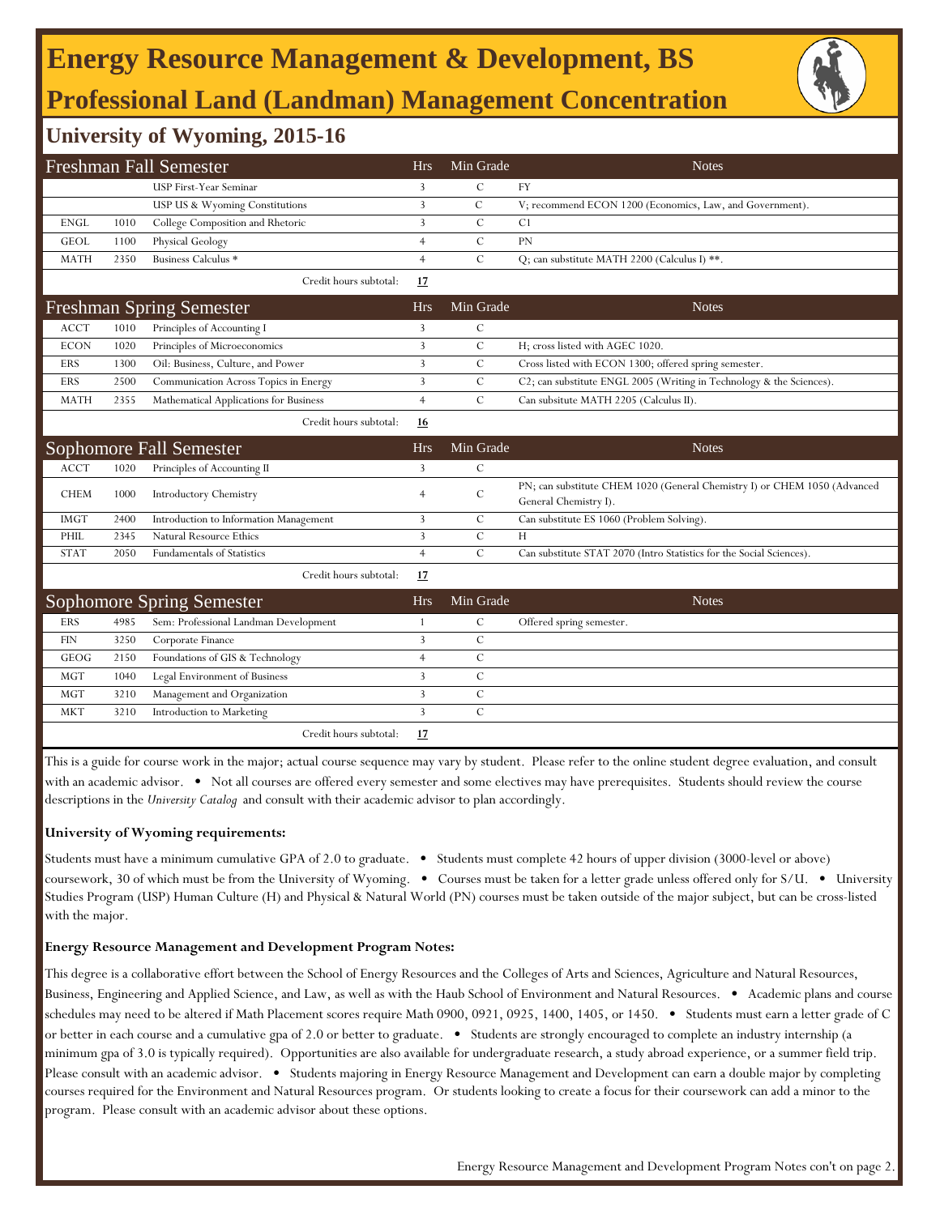# **Energy Resource Management & Development, BS Professional Land (Landman) Management Concentration**



### **University of Wyoming, 2015-16**

|             |      | Freshman Fall Semester                 | <b>Hrs</b>     | Min Grade      | <b>Notes</b>                                                                                       |
|-------------|------|----------------------------------------|----------------|----------------|----------------------------------------------------------------------------------------------------|
|             |      | USP First-Year Seminar                 | 3              | C              | FY                                                                                                 |
|             |      | USP US & Wyoming Constitutions         | 3              | $\mathcal{C}$  | V; recommend ECON 1200 (Economics, Law, and Government).                                           |
| <b>ENGL</b> | 1010 | College Composition and Rhetoric       | 3              | $\overline{C}$ | C <sub>1</sub>                                                                                     |
| <b>GEOL</b> | 1100 | <b>Physical Geology</b>                | $\overline{4}$ | $\mathcal{C}$  | PN                                                                                                 |
| <b>MATH</b> | 2350 | Business Calculus *                    | $\overline{4}$ | $\overline{C}$ | Q; can substitute MATH 2200 (Calculus I) **.                                                       |
|             |      | Credit hours subtotal:                 | 17             |                |                                                                                                    |
|             |      | <b>Freshman Spring Semester</b>        | <b>Hrs</b>     | Min Grade      | <b>Notes</b>                                                                                       |
| <b>ACCT</b> | 1010 | Principles of Accounting I             | 3              | $\mathcal{C}$  |                                                                                                    |
| <b>ECON</b> | 1020 | Principles of Microeconomics           | 3              | $\mathcal{C}$  | H; cross listed with AGEC 1020.                                                                    |
| ERS         | 1300 | Oil: Business, Culture, and Power      | $\overline{3}$ | $\mathcal{C}$  | Cross listed with ECON 1300; offered spring semester.                                              |
| <b>ERS</b>  | 2500 | Communication Across Topics in Energy  | $\overline{3}$ | $\mathcal{C}$  | C2; can substitute ENGL 2005 (Writing in Technology & the Sciences).                               |
| <b>MATH</b> | 2355 | Mathematical Applications for Business | $\overline{4}$ | $\mathcal{C}$  | Can subsitute MATH 2205 (Calculus II).                                                             |
|             |      | Credit hours subtotal:                 | 16             |                |                                                                                                    |
|             |      | Sophomore Fall Semester                | <b>Hrs</b>     | Min Grade      | <b>Notes</b>                                                                                       |
| <b>ACCT</b> | 1020 | Principles of Accounting II            | 3              | С              |                                                                                                    |
| <b>CHEM</b> | 1000 | Introductory Chemistry                 | $\overline{4}$ | $\mathcal{C}$  | PN; can substitute CHEM 1020 (General Chemistry I) or CHEM 1050 (Advanced<br>General Chemistry I). |
| <b>IMGT</b> | 2400 | Introduction to Information Management | 3              | C              | Can substitute ES 1060 (Problem Solving).                                                          |
| PHIL        | 2345 | Natural Resource Ethics                | 3              | С              | H                                                                                                  |
| <b>STAT</b> | 2050 | Fundamentals of Statistics             | $\overline{4}$ | $\mathcal{C}$  | Can substitute STAT 2070 (Intro Statistics for the Social Sciences)                                |
|             |      | Credit hours subtotal:                 | 17             |                |                                                                                                    |
|             |      | <b>Sophomore Spring Semester</b>       | <b>Hrs</b>     | Min Grade      | <b>Notes</b>                                                                                       |
| <b>ERS</b>  | 4985 | Sem: Professional Landman Development  | -1             | $\mathcal{C}$  | Offered spring semester.                                                                           |
| <b>FIN</b>  | 3250 | Corporate Finance                      | 3              | $\mathbf C$    |                                                                                                    |
| <b>GEOG</b> | 2150 | Foundations of GIS & Technology        | $\overline{4}$ | $\mathcal{C}$  |                                                                                                    |
| <b>MGT</b>  | 1040 | Legal Environment of Business          | $\overline{3}$ | $\mathcal{C}$  |                                                                                                    |
| <b>MGT</b>  | 3210 | Management and Organization            | $\mathbf{3}$   | $\mathcal{C}$  |                                                                                                    |
| <b>MKT</b>  | 3210 | Introduction to Marketing              | 3              | $\mathcal{C}$  |                                                                                                    |
|             |      | Credit hours subtotal:                 | 17             |                |                                                                                                    |
|             |      |                                        |                |                |                                                                                                    |

This is a guide for course work in the major; actual course sequence may vary by student. Please refer to the online student degree evaluation, and consult with an academic advisor. • Not all courses are offered every semester and some electives may have prerequisites. Students should review the course descriptions in the *University Catalog* and consult with their academic advisor to plan accordingly.

#### **University of Wyoming requirements:**

Students must have a minimum cumulative GPA of 2.0 to graduate. • Students must complete 42 hours of upper division (3000-level or above) coursework, 30 of which must be from the University of Wyoming. • Courses must be taken for a letter grade unless offered only for S/U. • University Studies Program (USP) Human Culture (H) and Physical & Natural World (PN) courses must be taken outside of the major subject, but can be cross-listed with the major.

#### **Energy Resource Management and Development Program Notes:**

This degree is a collaborative effort between the School of Energy Resources and the Colleges of Arts and Sciences, Agriculture and Natural Resources, Business, Engineering and Applied Science, and Law, as well as with the Haub School of Environment and Natural Resources. • Academic plans and course schedules may need to be altered if Math Placement scores require Math 0900, 0921, 0925, 1400, 1405, or 1450. • Students must earn a letter grade of C or better in each course and a cumulative gpa of 2.0 or better to graduate. • Students are strongly encouraged to complete an industry internship (a minimum gpa of 3.0 is typically required). Opportunities are also available for undergraduate research, a study abroad experience, or a summer field trip. Please consult with an academic advisor. . Students majoring in Energy Resource Management and Development can earn a double major by completing courses required for the Environment and Natural Resources program. Or students looking to create a focus for their coursework can add a minor to the program. Please consult with an academic advisor about these options.